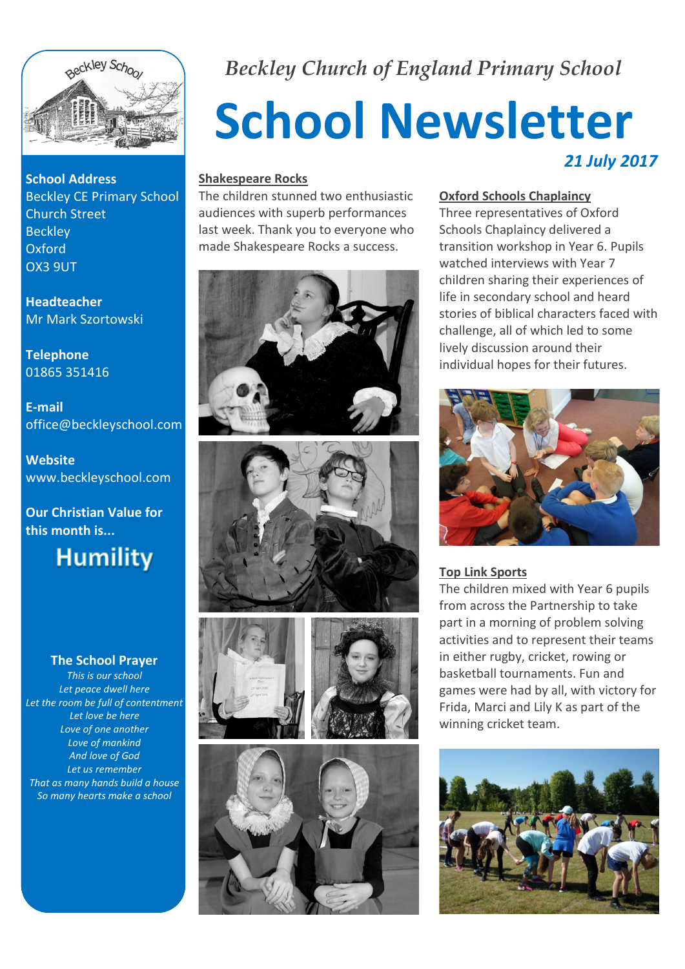

**School Address** Beckley CE Primary School Church Street **Beckley** Oxford OX3 9UT

**Headteacher** Mr Mark Szortowski

**Telephone** 01865 351416

**E-mail** office@beckleyschool.com

**Website** www.beckleyschool.com

**Our Christian Value for this month is...**



#### **The School Prayer**

*This is our school Let peace dwell here Let the room be full of contentment Let love be here Love of one another Love of mankind And love of God Let us remember That as many hands build a house So many hearts make a school*

# *Beckley Church of England Primary School*

# **School Newsletter** *21 July 2017*

#### **Shakespeare Rocks**

The children stunned two enthusiastic audiences with superb performances last week. Thank you to everyone who made Shakespeare Rocks a success.











#### **Oxford Schools Chaplaincy**

Three representatives of Oxford Schools Chaplaincy delivered a transition workshop in Year 6. Pupils watched interviews with Year 7 children sharing their experiences of life in secondary school and heard stories of biblical characters faced with challenge, all of which led to some lively discussion around their individual hopes for their futures.



#### **Top Link Sports**

The children mixed with Year 6 pupils from across the Partnership to take part in a morning of problem solving activities and to represent their teams in either rugby, cricket, rowing or basketball tournaments. Fun and games were had by all, with victory for Frida, Marci and Lily K as part of the winning cricket team.